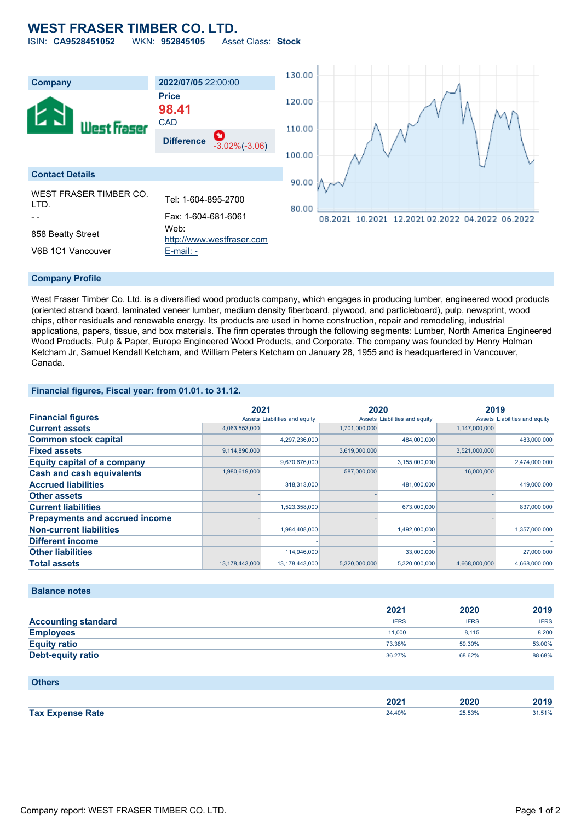## **WEST FRASER TIMBER CO. LTD.**

ISIN: **CA9528451052** WKN: **952845105** Asset Class: **Stock**



#### **Company Profile**

West Fraser Timber Co. Ltd. is a diversified wood products company, which engages in producing lumber, engineered wood products (oriented strand board, laminated veneer lumber, medium density fiberboard, plywood, and particleboard), pulp, newsprint, wood chips, other residuals and renewable energy. Its products are used in home construction, repair and remodeling, industrial applications, papers, tissue, and box materials. The firm operates through the following segments: Lumber, North America Engineered Wood Products, Pulp & Paper, Europe Engineered Wood Products, and Corporate. The company was founded by Henry Holman Ketcham Jr, Samuel Kendall Ketcham, and William Peters Ketcham on January 28, 1955 and is headquartered in Vancouver, Canada.

#### **Financial figures, Fiscal year: from 01.01. to 31.12.**

|                                       | 2021           |                               | 2020          |                               | 2019          |                               |
|---------------------------------------|----------------|-------------------------------|---------------|-------------------------------|---------------|-------------------------------|
| <b>Financial figures</b>              |                | Assets Liabilities and equity |               | Assets Liabilities and equity |               | Assets Liabilities and equity |
| <b>Current assets</b>                 | 4,063,553,000  |                               | 1.701.000.000 |                               | 1,147,000,000 |                               |
| <b>Common stock capital</b>           |                | 4,297,236,000                 |               | 484,000,000                   |               | 483,000,000                   |
| <b>Fixed assets</b>                   | 9,114,890,000  |                               | 3,619,000,000 |                               | 3,521,000,000 |                               |
| <b>Equity capital of a company</b>    |                | 9,670,676,000                 |               | 3,155,000,000                 |               | 2,474,000,000                 |
| <b>Cash and cash equivalents</b>      | 1,980,619,000  |                               | 587,000,000   |                               | 16,000,000    |                               |
| <b>Accrued liabilities</b>            |                | 318.313.000                   |               | 481,000,000                   |               | 419,000,000                   |
| <b>Other assets</b>                   |                |                               |               |                               |               |                               |
| <b>Current liabilities</b>            |                | 1,523,358,000                 |               | 673,000,000                   |               | 837,000,000                   |
| <b>Prepayments and accrued income</b> |                |                               |               |                               |               |                               |
| <b>Non-current liabilities</b>        |                | 1,984,408,000                 |               | 1,492,000,000                 |               | 1,357,000,000                 |
| <b>Different income</b>               |                |                               |               |                               |               |                               |
| <b>Other liabilities</b>              |                | 114,946,000                   |               | 33,000,000                    |               | 27,000,000                    |
| <b>Total assets</b>                   | 13,178,443,000 | 13,178,443,000                | 5,320,000,000 | 5,320,000,000                 | 4,668,000,000 | 4,668,000,000                 |

#### **Balance notes**

|                            | 2021        | 2020        | 2019        |
|----------------------------|-------------|-------------|-------------|
| <b>Accounting standard</b> | <b>IFRS</b> | <b>IFRS</b> | <b>IFRS</b> |
| <b>Employees</b>           | 11.000      | 8.115       | 8,200       |
| <b>Equity ratio</b>        | 73.38%      | 59.30%      | 53.00%      |
| Debt-equity ratio          | 36.27%      | 68.62%      | 88.68%      |

#### **Others**

|                    | 200<br>ZVZ I | ----<br>,20 | 0.40<br>40 I J |
|--------------------|--------------|-------------|----------------|
| <b>Tax</b><br>Zate | 24.40%       | 25.53%<br>. | .              |